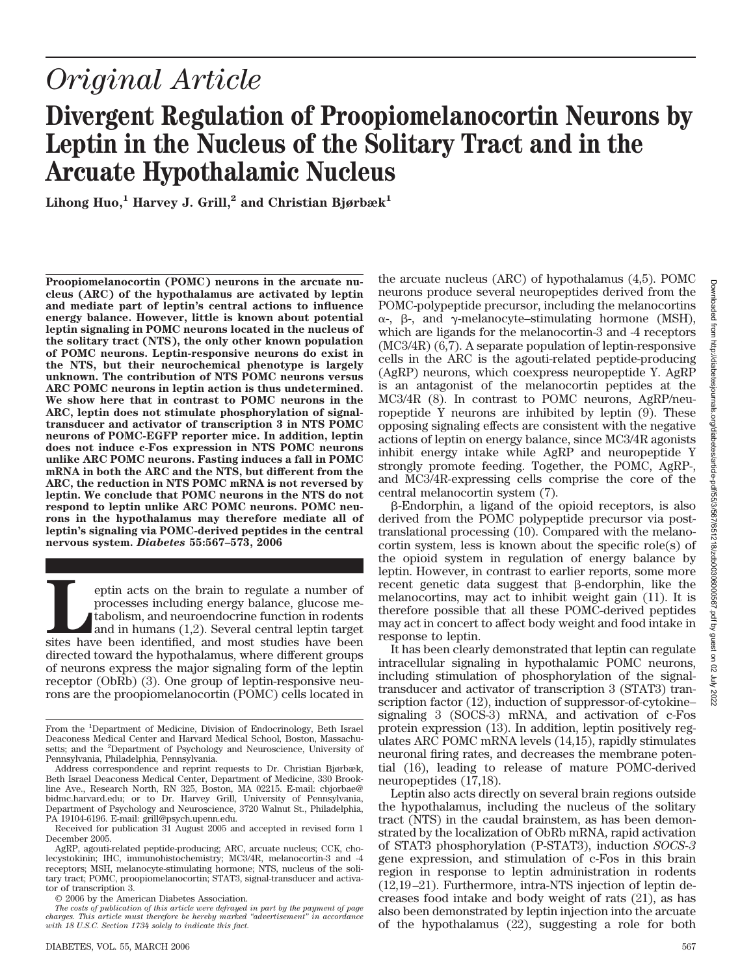# *Original Article*

## **Divergent Regulation of Proopiomelanocortin Neurons by Leptin in the Nucleus of the Solitary Tract and in the Arcuate Hypothalamic Nucleus**

Lihong Huo,<sup>1</sup> **Harvey J. Grill**,<sup>2</sup> and Christian Bjørbæk<sup>1</sup>

**Proopiomelanocortin (POMC) neurons in the arcuate nucleus (ARC) of the hypothalamus are activated by leptin and mediate part of leptin's central actions to influence energy balance. However, little is known about potential leptin signaling in POMC neurons located in the nucleus of the solitary tract (NTS), the only other known population of POMC neurons. Leptin-responsive neurons do exist in the NTS, but their neurochemical phenotype is largely unknown. The contribution of NTS POMC neurons versus ARC POMC neurons in leptin action is thus undetermined. We show here that in contrast to POMC neurons in the ARC, leptin does not stimulate phosphorylation of signaltransducer and activator of transcription 3 in NTS POMC neurons of POMC-EGFP reporter mice. In addition, leptin does not induce c-Fos expression in NTS POMC neurons unlike ARC POMC neurons. Fasting induces a fall in POMC mRNA in both the ARC and the NTS, but different from the ARC, the reduction in NTS POMC mRNA is not reversed by leptin. We conclude that POMC neurons in the NTS do not respond to leptin unlike ARC POMC neurons. POMC neurons in the hypothalamus may therefore mediate all of leptin's signaling via POMC-derived peptides in the central nervous system.** *Diabetes* **55:567–573, 2006**

**Leptin acts on the brain to regulate a number of processes including energy balance, glucose metabolism, and neuroendocrine function in rodents and in humans (1,2). Several central leptin target sites have been identified** processes including energy balance, glucose metabolism, and neuroendocrine function in rodents and in humans (1,2). Several central leptin target directed toward the hypothalamus, where different groups of neurons express the major signaling form of the leptin receptor (ObRb) (3). One group of leptin-responsive neurons are the proopiomelanocortin (POMC) cells located in

© 2006 by the American Diabetes Association.

the arcuate nucleus (ARC) of hypothalamus (4,5). POMC neurons produce several neuropeptides derived from the POMC-polypeptide precursor, including the melanocortins  $\alpha$ -, β-, and γ-melanocyte–stimulating hormone (MSH), which are ligands for the melanocortin-3 and -4 receptors (MC3/4R) (6,7). A separate population of leptin-responsive cells in the ARC is the agouti-related peptide-producing (AgRP) neurons, which coexpress neuropeptide Y. AgRP is an antagonist of the melanocortin peptides at the MC3/4R (8). In contrast to POMC neurons, AgRP/neuropeptide Y neurons are inhibited by leptin (9). These opposing signaling effects are consistent with the negative actions of leptin on energy balance, since MC3/4R agonists inhibit energy intake while AgRP and neuropeptide Y strongly promote feeding. Together, the POMC, AgRP-, and MC3/4R-expressing cells comprise the core of the central melanocortin system (7).

--Endorphin, a ligand of the opioid receptors, is also derived from the POMC polypeptide precursor via posttranslational processing (10). Compared with the melanocortin system, less is known about the specific role(s) of the opioid system in regulation of energy balance by leptin. However, in contrast to earlier reports, some more recent genetic data suggest that  $\beta$ -endorphin, like the melanocortins, may act to inhibit weight gain (11). It is therefore possible that all these POMC-derived peptides may act in concert to affect body weight and food intake in response to leptin.

It has been clearly demonstrated that leptin can regulate intracellular signaling in hypothalamic POMC neurons, including stimulation of phosphorylation of the signaltransducer and activator of transcription 3 (STAT3) transcription factor (12), induction of suppressor-of-cytokine– signaling 3 (SOCS-3) mRNA, and activation of c-Fos protein expression (13). In addition, leptin positively regulates ARC POMC mRNA levels (14,15), rapidly stimulates neuronal firing rates, and decreases the membrane potential (16), leading to release of mature POMC-derived neuropeptides (17,18).

Leptin also acts directly on several brain regions outside the hypothalamus, including the nucleus of the solitary tract (NTS) in the caudal brainstem, as has been demonstrated by the localization of ObRb mRNA, rapid activation of STAT3 phosphorylation (P-STAT3), induction *SOCS-3* gene expression, and stimulation of c-Fos in this brain region in response to leptin administration in rodents (12,19 –21). Furthermore, intra-NTS injection of leptin decreases food intake and body weight of rats (21), as has also been demonstrated by leptin injection into the arcuate of the hypothalamus (22), suggesting a role for both

From the <sup>1</sup>Department of Medicine, Division of Endocrinology, Beth Israel Deaconess Medical Center and Harvard Medical School, Boston, Massachusetts; and the <sup>2</sup>Department of Psychology and Neuroscience, University of Pennsylvania, Philadelphia, Pennsylvania.

Address correspondence and reprint requests to Dr. Christian Bjørbæk, Beth Israel Deaconess Medical Center, Department of Medicine, 330 Brookline Ave., Research North, RN 325, Boston, MA 02215. E-mail: cbjorbae@ bidmc.harvard.edu; or to Dr. Harvey Grill, University of Pennsylvania, Department of Psychology and Neuroscience, 3720 Walnut St., Philadelphia, PA 19104-6196. E-mail: grill@psych.upenn.edu.

Received for publication 31 August 2005 and accepted in revised form 1 December 2005.

AgRP, agouti-related peptide-producing; ARC, arcuate nucleus; CCK, cholecystokinin; IHC, immunohistochemistry; MC3/4R, melanocortin-3 and -4 receptors; MSH, melanocyte-stimulating hormone; NTS, nucleus of the solitary tract; POMC, proopiomelanocortin; STAT3, signal-transducer and activator of transcription 3.

*The costs of publication of this article were defrayed in part by the payment of page charges. This article must therefore be hereby marked "advertisement" in accordance with 18 U.S.C. Section 1734 solely to indicate this fact.*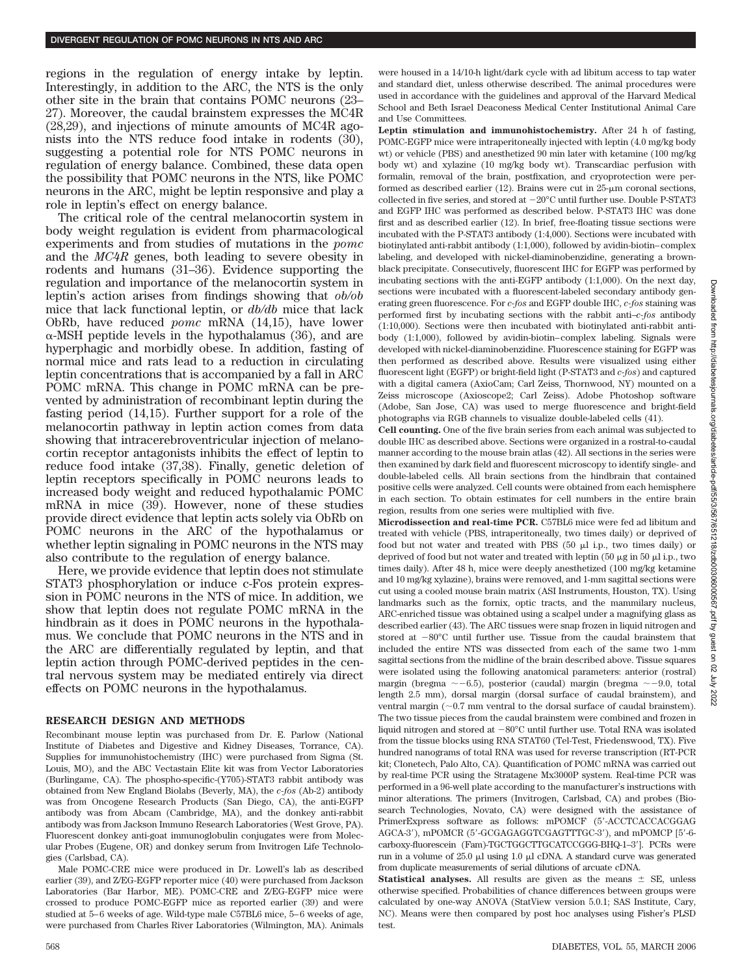regions in the regulation of energy intake by leptin. Interestingly, in addition to the ARC, the NTS is the only other site in the brain that contains POMC neurons (23– 27). Moreover, the caudal brainstem expresses the MC4R (28,29), and injections of minute amounts of MC4R agonists into the NTS reduce food intake in rodents (30), suggesting a potential role for NTS POMC neurons in regulation of energy balance. Combined, these data open the possibility that POMC neurons in the NTS, like POMC neurons in the ARC, might be leptin responsive and play a role in leptin's effect on energy balance.

The critical role of the central melanocortin system in body weight regulation is evident from pharmacological experiments and from studies of mutations in the *pomc* and the *MC4R* genes, both leading to severe obesity in rodents and humans (31–36). Evidence supporting the regulation and importance of the melanocortin system in leptin's action arises from findings showing that *ob/ob* mice that lack functional leptin, or *db/db* mice that lack ObRb, have reduced *pomc* mRNA (14,15), have lower  $\alpha$ -MSH peptide levels in the hypothalamus (36), and are hyperphagic and morbidly obese. In addition, fasting of normal mice and rats lead to a reduction in circulating leptin concentrations that is accompanied by a fall in ARC POMC mRNA. This change in POMC mRNA can be prevented by administration of recombinant leptin during the fasting period (14,15). Further support for a role of the melanocortin pathway in leptin action comes from data showing that intracerebroventricular injection of melanocortin receptor antagonists inhibits the effect of leptin to reduce food intake (37,38). Finally, genetic deletion of leptin receptors specifically in POMC neurons leads to increased body weight and reduced hypothalamic POMC mRNA in mice (39). However, none of these studies provide direct evidence that leptin acts solely via ObRb on POMC neurons in the ARC of the hypothalamus or whether leptin signaling in POMC neurons in the NTS may also contribute to the regulation of energy balance.

Here, we provide evidence that leptin does not stimulate STAT3 phosphorylation or induce c-Fos protein expression in POMC neurons in the NTS of mice. In addition, we show that leptin does not regulate POMC mRNA in the hindbrain as it does in POMC neurons in the hypothalamus. We conclude that POMC neurons in the NTS and in the ARC are differentially regulated by leptin, and that leptin action through POMC-derived peptides in the central nervous system may be mediated entirely via direct effects on POMC neurons in the hypothalamus.

#### **RESEARCH DESIGN AND METHODS**

Recombinant mouse leptin was purchased from Dr. E. Parlow (National Institute of Diabetes and Digestive and Kidney Diseases, Torrance, CA). Supplies for immunohistochemistry (IHC) were purchased from Sigma (St. Louis, MO), and the ABC Vectastain Elite kit was from Vector Laboratories (Burlingame, CA). The phospho-specific-(Y705)-STAT3 rabbit antibody was obtained from New England Biolabs (Beverly, MA), the *c-fos* (Ab-2) antibody was from Oncogene Research Products (San Diego, CA), the anti-EGFP antibody was from Abcam (Cambridge, MA), and the donkey anti-rabbit antibody was from Jackson Immuno Research Laboratories (West Grove, PA). Fluorescent donkey anti-goat immunoglobulin conjugates were from Molecular Probes (Eugene, OR) and donkey serum from Invitrogen Life Technologies (Carlsbad, CA).

Male POMC-CRE mice were produced in Dr. Lowell's lab as described earlier (39), and Z/EG-EGFP reporter mice (40) were purchased from Jackson Laboratories (Bar Harbor, ME). POMC-CRE and Z/EG-EGFP mice were crossed to produce POMC-EGFP mice as reported earlier (39) and were studied at 5–6 weeks of age. Wild-type male C57BL6 mice, 5–6 weeks of age, were purchased from Charles River Laboratories (Wilmington, MA). Animals were housed in a 14/10-h light/dark cycle with ad libitum access to tap water and standard diet, unless otherwise described. The animal procedures were used in accordance with the guidelines and approval of the Harvard Medical School and Beth Israel Deaconess Medical Center Institutional Animal Care and Use Committees.

**Leptin stimulation and immunohistochemistry.** After 24 h of fasting, POMC-EGFP mice were intraperitoneally injected with leptin (4.0 mg/kg body wt) or vehicle (PBS) and anesthetized 90 min later with ketamine (100 mg/kg) body wt) and xylazine (10 mg/kg body wt). Transcardiac perfusion with formalin, removal of the brain, postfixation, and cryoprotection were performed as described earlier (12). Brains were cut in  $25-\mu m$  coronal sections, collected in five series, and stored at  $-20^{\circ}$ C until further use. Double P-STAT3 and EGFP IHC was performed as described below. P-STAT3 IHC was done first and as described earlier (12). In brief, free-floating tissue sections were incubated with the P-STAT3 antibody (1:4,000). Sections were incubated with biotinylated anti-rabbit antibody (1:1,000), followed by avidin-biotin– complex labeling, and developed with nickel-diaminobenzidine, generating a brownblack precipitate. Consecutively, fluorescent IHC for EGFP was performed by incubating sections with the anti-EGFP antibody (1:1,000). On the next day, sections were incubated with a fluorescent-labeled secondary antibody generating green fluorescence. For *c-fos* and EGFP double IHC, *c-fos* staining was performed first by incubating sections with the rabbit anti–*c-fos* antibody (1:10,000). Sections were then incubated with biotinylated anti-rabbit antibody (1:1,000), followed by avidin-biotin– complex labeling. Signals were developed with nickel-diaminobenzidine. Fluorescence staining for EGFP was then performed as described above. Results were visualized using either fluorescent light (EGFP) or bright-field light (P-STAT3 and *c-fos*) and captured with a digital camera (AxioCam; Carl Zeiss, Thornwood, NY) mounted on a Zeiss microscope (Axioscope2; Carl Zeiss). Adobe Photoshop software (Adobe, San Jose, CA) was used to merge fluorescence and bright-field photographs via RGB channels to visualize double-labeled cells (41).

**Cell counting.** One of the five brain series from each animal was subjected to double IHC as described above. Sections were organized in a rostral-to-caudal manner according to the mouse brain atlas (42). All sections in the series were then examined by dark field and fluorescent microscopy to identify single- and double-labeled cells. All brain sections from the hindbrain that contained positive cells were analyzed. Cell counts were obtained from each hemisphere in each section. To obtain estimates for cell numbers in the entire brain region, results from one series were multiplied with five.

**Microdissection and real-time PCR.** C57BL6 mice were fed ad libitum and treated with vehicle (PBS, intraperitoneally, two times daily) or deprived of food but not water and treated with PBS  $(50 \mu l \text{ i.p., two times daily})$  or deprived of food but not water and treated with leptin (50  $\mu$ g in 50  $\mu$ l i.p., two times daily). After 48 h, mice were deeply anesthetized (100 mg/kg ketamine and 10 mg/kg xylazine), brains were removed, and 1-mm sagittal sections were cut using a cooled mouse brain matrix (ASI Instruments, Houston, TX). Using landmarks such as the fornix, optic tracts, and the mammilary nucleus, ARC-enriched tissue was obtained using a scalpel under a magnifying glass as described earlier (43). The ARC tissues were snap frozen in liquid nitrogen and stored at  $-80^{\circ}$ C until further use. Tissue from the caudal brainstem that included the entire NTS was dissected from each of the same two 1-mm sagittal sections from the midline of the brain described above. Tissue squares were isolated using the following anatomical parameters: anterior (rostral) margin (bregma  $\sim -6.5$ ), posterior (caudal) margin (bregma  $\sim -9.0$ , total length 2.5 mm), dorsal margin (dorsal surface of caudal brainstem), and ventral margin  $(\sim 0.7 \text{ mm})$  ventral to the dorsal surface of caudal brainstem). The two tissue pieces from the caudal brainstem were combined and frozen in liquid nitrogen and stored at  $-80^{\circ}$ C until further use. Total RNA was isolated from the tissue blocks using RNA STAT60 (Tel-Test, Friedenswood, TX). Five hundred nanograms of total RNA was used for reverse transcription (RT-PCR kit; Clonetech, Palo Alto, CA). Quantification of POMC mRNA was carried out by real-time PCR using the Stratagene Mx3000P system. Real-time PCR was performed in a 96-well plate according to the manufacturer's instructions with minor alterations. The primers (Invitrogen, Carlsbad, CA) and probes (Biosearch Technologies, Novato, CA) were designed with the assistance of PrimerExpress software as follows: mPOMCF (5-ACCTCACCACGGAG AGCA-3'), mPOMCR (5'-GCGAGAGGTCGAGTTTGC-3'), and mPOMCP [5'-6carboxy-fluorescein (Fam)-TGCTGGCTTGCATCCGGG-BHQ-1–3]. PCRs were run in a volume of 25.0  $\mu$ l using 1.0  $\mu$ l cDNA. A standard curve was generated from duplicate measurements of serial dilutions of arcuate cDNA.

**Statistical analyses.** All results are given as the means  $\pm$  SE, unless otherwise specified. Probabilities of chance differences between groups were calculated by one-way ANOVA (StatView version 5.0.1; SAS Institute, Cary, NC). Means were then compared by post hoc analyses using Fisher's PLSD test.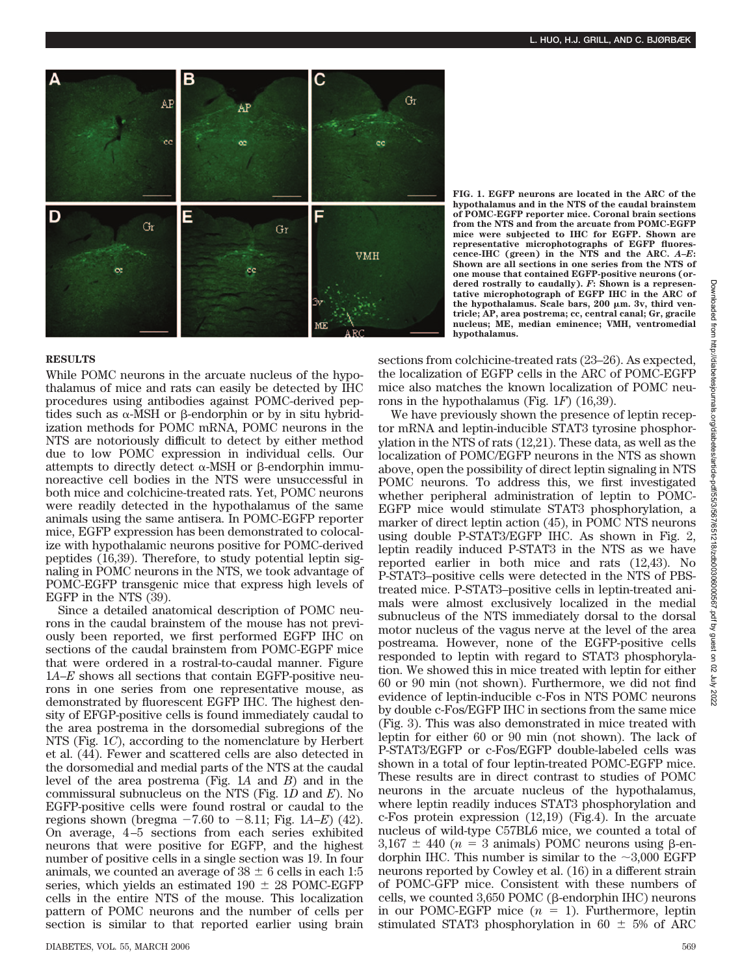

**FIG. 1. EGFP neurons are located in the ARC of the hypothalamus and in the NTS of the caudal brainstem of POMC-EGFP reporter mice. Coronal brain sections from the NTS and from the arcuate from POMC-EGFP mice were subjected to IHC for EGFP. Shown are representative microphotographs of EGFP fluorescence-IHC (green) in the NTS and the ARC.** *A***–***E***: Shown are all sections in one series from the NTS of one mouse that contained EGFP-positive neurons (ordered rostrally to caudally).** *F***: Shown is a representative microphotograph of EGFP IHC in the ARC of** the hypothalamus. Scale bars, 200 μm. 3v, third ven**tricle; AP, area postrema; cc, central canal; Gr, gracile nucleus; ME, median eminence; VMH, ventromedial hypothalamus.**

#### **RESULTS**

While POMC neurons in the arcuate nucleus of the hypothalamus of mice and rats can easily be detected by IHC procedures using antibodies against POMC-derived peptides such as  $\alpha$ -MSH or  $\beta$ -endorphin or by in situ hybridization methods for POMC mRNA, POMC neurons in the NTS are notoriously difficult to detect by either method due to low POMC expression in individual cells. Our attempts to directly detect  $\alpha$ -MSH or  $\beta$ -endorphin immunoreactive cell bodies in the NTS were unsuccessful in both mice and colchicine-treated rats. Yet, POMC neurons were readily detected in the hypothalamus of the same animals using the same antisera. In POMC-EGFP reporter mice, EGFP expression has been demonstrated to colocalize with hypothalamic neurons positive for POMC-derived peptides (16,39). Therefore, to study potential leptin signaling in POMC neurons in the NTS, we took advantage of POMC-EGFP transgenic mice that express high levels of EGFP in the NTS (39).

Since a detailed anatomical description of POMC neurons in the caudal brainstem of the mouse has not previously been reported, we first performed EGFP IHC on sections of the caudal brainstem from POMC-EGPF mice that were ordered in a rostral-to-caudal manner. Figure 1*A*–*E* shows all sections that contain EGFP-positive neurons in one series from one representative mouse, as demonstrated by fluorescent EGFP IHC. The highest density of EFGP-positive cells is found immediately caudal to the area postrema in the dorsomedial subregions of the NTS (Fig. 1*C*), according to the nomenclature by Herbert et al. (44). Fewer and scattered cells are also detected in the dorsomedial and medial parts of the NTS at the caudal level of the area postrema (Fig. 1*A* and *B*) and in the commissural subnucleus on the NTS (Fig. 1*D* and *E*). No EGFP-positive cells were found rostral or caudal to the regions shown (bregma  $-7.60$  to  $-8.11$ ; Fig. 1*A–E*) (42). On average, 4 –5 sections from each series exhibited neurons that were positive for EGFP, and the highest number of positive cells in a single section was 19. In four animals, we counted an average of  $38 \pm 6$  cells in each 1:5 series, which yields an estimated  $190 \pm 28$  POMC-EGFP cells in the entire NTS of the mouse. This localization pattern of POMC neurons and the number of cells per section is similar to that reported earlier using brain sections from colchicine-treated rats (23–26). As expected, the localization of EGFP cells in the ARC of POMC-EGFP mice also matches the known localization of POMC neurons in the hypothalamus (Fig. 1*F*) (16,39).

We have previously shown the presence of leptin receptor mRNA and leptin-inducible STAT3 tyrosine phosphorylation in the NTS of rats (12,21). These data, as well as the localization of POMC/EGFP neurons in the NTS as shown above, open the possibility of direct leptin signaling in NTS POMC neurons. To address this, we first investigated whether peripheral administration of leptin to POMC-EGFP mice would stimulate STAT3 phosphorylation, a marker of direct leptin action (45), in POMC NTS neurons using double P-STAT3/EGFP IHC. As shown in Fig. 2, leptin readily induced P-STAT3 in the NTS as we have reported earlier in both mice and rats (12,43). No P-STAT3–positive cells were detected in the NTS of PBStreated mice. P-STAT3–positive cells in leptin-treated animals were almost exclusively localized in the medial subnucleus of the NTS immediately dorsal to the dorsal motor nucleus of the vagus nerve at the level of the area postreama. However, none of the EGFP-positive cells responded to leptin with regard to STAT3 phosphorylation. We showed this in mice treated with leptin for either 60 or 90 min (not shown). Furthermore, we did not find evidence of leptin-inducible c-Fos in NTS POMC neurons by double c-Fos/EGFP IHC in sections from the same mice (Fig. 3). This was also demonstrated in mice treated with leptin for either 60 or 90 min (not shown). The lack of P-STAT3/EGFP or c-Fos/EGFP double-labeled cells was shown in a total of four leptin-treated POMC-EGFP mice. These results are in direct contrast to studies of POMC neurons in the arcuate nucleus of the hypothalamus, where leptin readily induces STAT3 phosphorylation and c-Fos protein expression (12,19) (Fig.4). In the arcuate nucleus of wild-type C57BL6 mice, we counted a total of  $3,167 \pm 440$  ( $n = 3$  animals) POMC neurons using  $\beta$ -endorphin IHC. This number is similar to the  $\sim 3,000$  EGFP neurons reported by Cowley et al. (16) in a different strain of POMC-GFP mice. Consistent with these numbers of cells, we counted  $3,650$  POMC ( $\beta$ -endorphin IHC) neurons in our POMC-EGFP mice  $(n = 1)$ . Furthermore, leptin stimulated STAT3 phosphorylation in 60  $\pm$  5% of ARC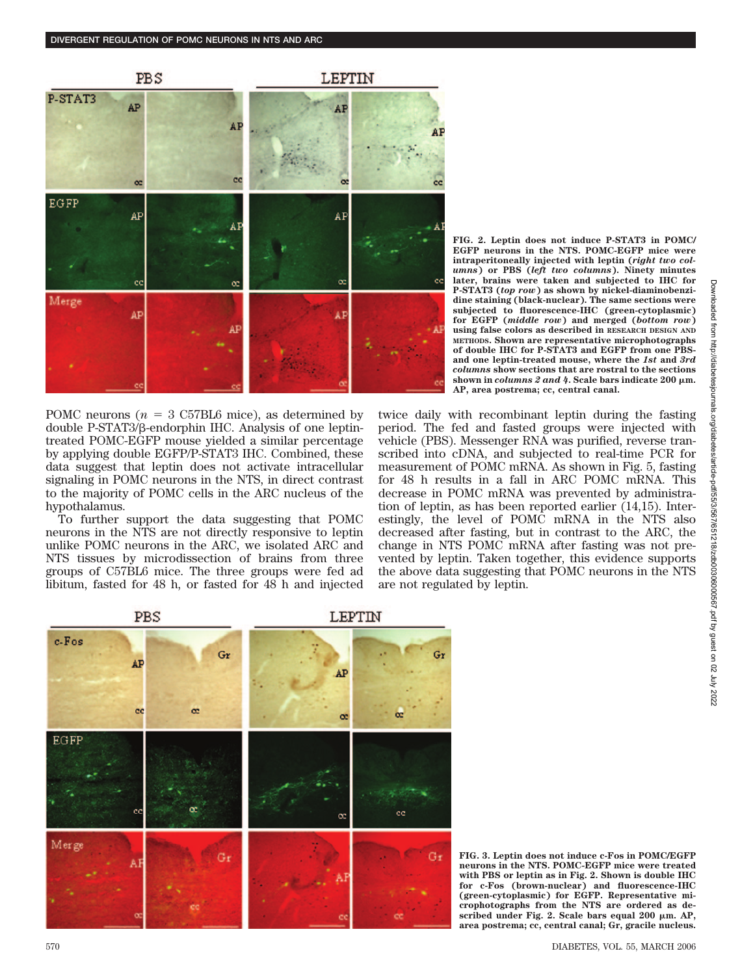

POMC neurons ( $n = 3$  C57BL6 mice), as determined by double P-STAT3/ß-endorphin IHC. Analysis of one leptintreated POMC-EGFP mouse yielded a similar percentage by applying double EGFP/P-STAT3 IHC. Combined, these data suggest that leptin does not activate intracellular signaling in POMC neurons in the NTS, in direct contrast to the majority of POMC cells in the ARC nucleus of the hypothalamus.

To further support the data suggesting that POMC neurons in the NTS are not directly responsive to leptin unlike POMC neurons in the ARC, we isolated ARC and NTS tissues by microdissection of brains from three groups of C57BL6 mice. The three groups were fed ad libitum, fasted for 48 h, or fasted for 48 h and injected **FIG. 2. Leptin does not induce P-STAT3 in POMC/ EGFP neurons in the NTS. POMC-EGFP mice were intraperitoneally injected with leptin (***right two columns***) or PBS (***left two columns***). Ninety minutes later, brains were taken and subjected to IHC for P-STAT3 (***top row***) as shown by nickel-diaminobenzidine staining (black-nuclear). The same sections were subjected to fluorescence-IHC (green-cytoplasmic) for EGFP (***middle row***) and merged (***bottom row***) using false colors as described in RESEARCH DESIGN AND METHODS. Shown are representative microphotographs of double IHC for P-STAT3 and EGFP from one PBSand one leptin-treated mouse, where the** *1st* **and** *3rd columns* **show sections that are rostral to the sections** shown in *columns 2 and 4*. Scale bars indicate 200  $\mu$ m. **AP, area postrema; cc, central canal.**

twice daily with recombinant leptin during the fasting period. The fed and fasted groups were injected with vehicle (PBS). Messenger RNA was purified, reverse transcribed into cDNA, and subjected to real-time PCR for measurement of POMC mRNA. As shown in Fig. 5, fasting for 48 h results in a fall in ARC POMC mRNA. This decrease in POMC mRNA was prevented by administration of leptin, as has been reported earlier (14,15). Interestingly, the level of POMC mRNA in the NTS also decreased after fasting, but in contrast to the ARC, the change in NTS POMC mRNA after fasting was not prevented by leptin. Taken together, this evidence supports the above data suggesting that POMC neurons in the NTS are not regulated by leptin.



**FIG. 3. Leptin does not induce c-Fos in POMC/EGFP neurons in the NTS. POMC-EGFP mice were treated with PBS or leptin as in Fig. 2. Shown is double IHC for c-Fos (brown-nuclear) and fluorescence-IHC (green-cytoplasmic) for EGFP. Representative microphotographs from the NTS are ordered as de**scribed under Fig. 2. Scale bars equal 200  $\mu$ m. AP, **area postrema; cc, central canal; Gr, gracile nucleus.**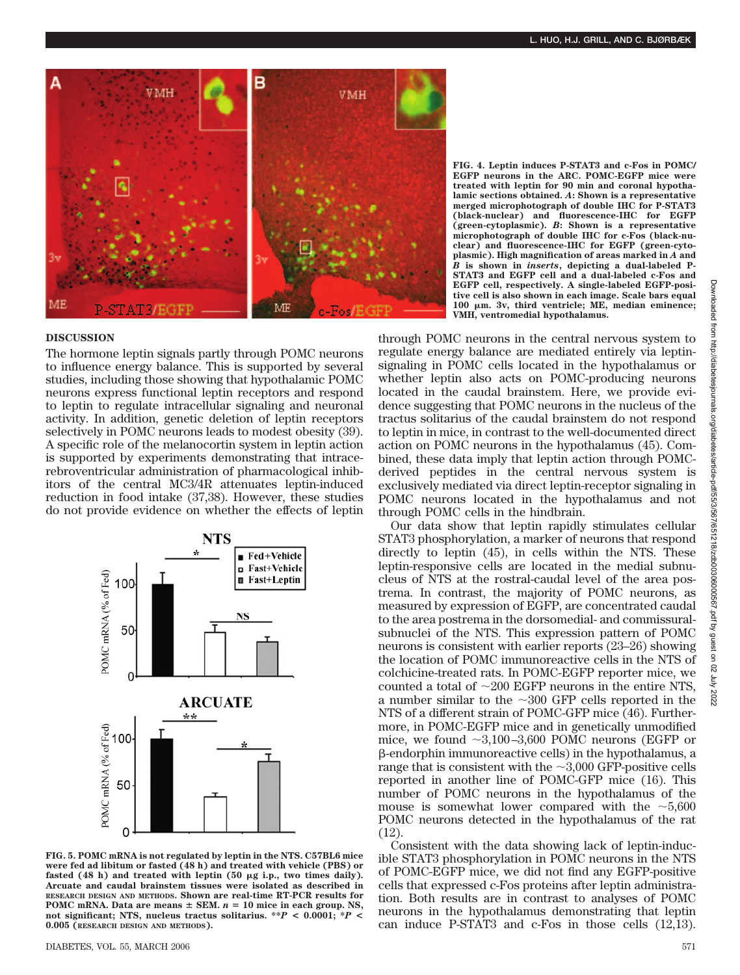

**FIG. 4. Leptin induces P-STAT3 and c-Fos in POMC/ EGFP neurons in the ARC. POMC-EGFP mice were treated with leptin for 90 min and coronal hypothalamic sections obtained.** *A***: Shown is a representative merged microphotograph of double IHC for P-STAT3 (black-nuclear) and fluorescence-IHC for EGFP (green-cytoplasmic).** *B***: Shown is a representative microphotograph of double IHC for c-Fos (black-nuclear) and fluorescence-IHC for EGFP (green-cytoplasmic). High magnification of areas marked in** *A* **and** *B* **is shown in** *inserts***, depicting a dual-labeled P-STAT3 and EGFP cell and a dual-labeled c-Fos and EGFP cell, respectively. A single-labeled EGFP-positive cell is also shown in each image. Scale bars equal 100 m. 3v, third ventricle; ME, median eminence; VMH, ventromedial hypothalamus.**

### **DISCUSSION**

The hormone leptin signals partly through POMC neurons to influence energy balance. This is supported by several studies, including those showing that hypothalamic POMC neurons express functional leptin receptors and respond to leptin to regulate intracellular signaling and neuronal activity. In addition, genetic deletion of leptin receptors selectively in POMC neurons leads to modest obesity (39). A specific role of the melanocortin system in leptin action is supported by experiments demonstrating that intracerebroventricular administration of pharmacological inhibitors of the central MC3/4R attenuates leptin-induced reduction in food intake (37,38). However, these studies do not provide evidence on whether the effects of leptin



**FIG. 5. POMC mRNA is not regulated by leptin in the NTS. C57BL6 mice were fed ad libitum or fasted (48 h) and treated with vehicle (PBS) or** fasted (48 h) and treated with leptin (50  $\mu$ g i.p., two times daily). **Arcuate and caudal brainstem tissues were isolated as described in RESEARCH DESIGN AND METHODS. Shown are real-time RT-PCR results for POMC** mRNA. Data are means  $\pm$  SEM.  $n = 10$  mice in each group. NS, **not significant; NTS, nucleus tractus solitarius. \*\****P* **< 0.0001; \****P* **< 0.005 (RESEARCH DESIGN AND METHODS).**

DIABETES, VOL. 55, MARCH 2006 571

through POMC neurons in the central nervous system to regulate energy balance are mediated entirely via leptinsignaling in POMC cells located in the hypothalamus or whether leptin also acts on POMC-producing neurons located in the caudal brainstem. Here, we provide evidence suggesting that POMC neurons in the nucleus of the tractus solitarius of the caudal brainstem do not respond to leptin in mice, in contrast to the well-documented direct action on POMC neurons in the hypothalamus (45). Combined, these data imply that leptin action through POMCderived peptides in the central nervous system is exclusively mediated via direct leptin-receptor signaling in POMC neurons located in the hypothalamus and not through POMC cells in the hindbrain.

Our data show that leptin rapidly stimulates cellular STAT3 phosphorylation, a marker of neurons that respond directly to leptin (45), in cells within the NTS. These leptin-responsive cells are located in the medial subnucleus of NTS at the rostral-caudal level of the area postrema. In contrast, the majority of POMC neurons, as measured by expression of EGFP, are concentrated caudal to the area postrema in the dorsomedial- and commissuralsubnuclei of the NTS. This expression pattern of POMC neurons is consistent with earlier reports (23–26) showing the location of POMC immunoreactive cells in the NTS of colchicine-treated rats. In POMC-EGFP reporter mice, we counted a total of  $\sim$ 200 EGFP neurons in the entire NTS, a number similar to the  $\sim$ 300 GFP cells reported in the NTS of a different strain of POMC-GFP mice (46). Furthermore, in POMC-EGFP mice and in genetically unmodified mice, we found  $\sim 3,100 - 3,600$  POMC neurons (EGFP or --endorphin immunoreactive cells) in the hypothalamus, a range that is consistent with the  $\sim 3,000$  GFP-positive cells reported in another line of POMC-GFP mice (16). This number of POMC neurons in the hypothalamus of the mouse is somewhat lower compared with the  $\sim 5,600$ POMC neurons detected in the hypothalamus of the rat (12).

Consistent with the data showing lack of leptin-inducible STAT3 phosphorylation in POMC neurons in the NTS of POMC-EGFP mice, we did not find any EGFP-positive cells that expressed c-Fos proteins after leptin administration. Both results are in contrast to analyses of POMC neurons in the hypothalamus demonstrating that leptin can induce P-STAT3 and c-Fos in those cells (12,13).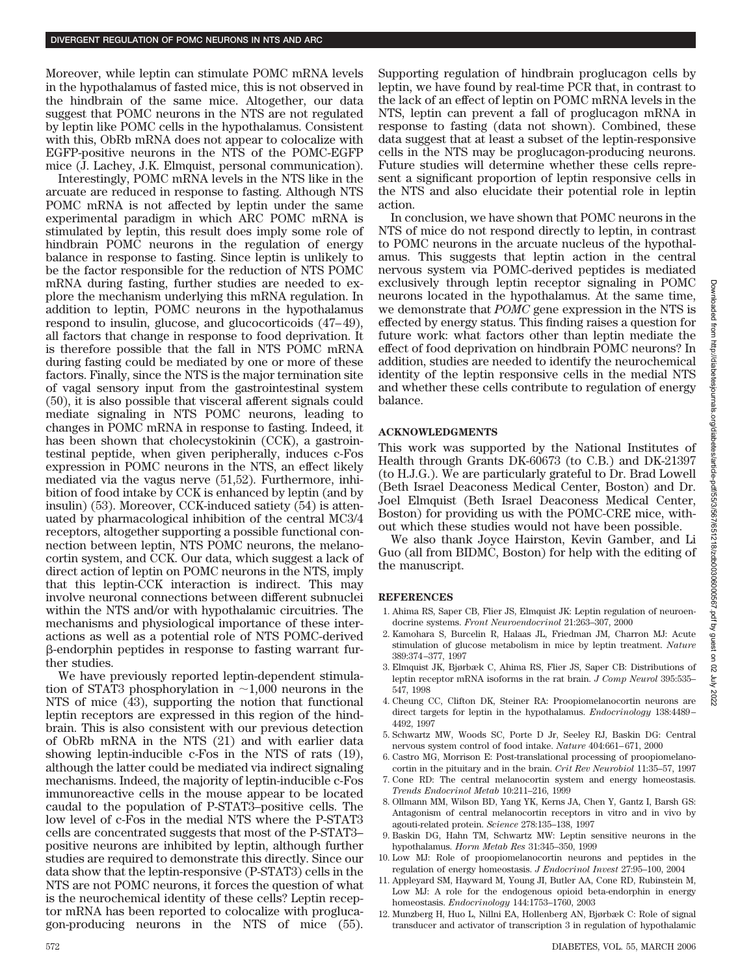Moreover, while leptin can stimulate POMC mRNA levels in the hypothalamus of fasted mice, this is not observed in the hindbrain of the same mice. Altogether, our data suggest that POMC neurons in the NTS are not regulated by leptin like POMC cells in the hypothalamus. Consistent with this, ObRb mRNA does not appear to colocalize with EGFP-positive neurons in the NTS of the POMC-EGFP mice (J. Lachey, J.K. Elmquist, personal communication).

Interestingly, POMC mRNA levels in the NTS like in the arcuate are reduced in response to fasting. Although NTS POMC mRNA is not affected by leptin under the same experimental paradigm in which ARC POMC mRNA is stimulated by leptin, this result does imply some role of hindbrain POMC neurons in the regulation of energy balance in response to fasting. Since leptin is unlikely to be the factor responsible for the reduction of NTS POMC mRNA during fasting, further studies are needed to explore the mechanism underlying this mRNA regulation. In addition to leptin, POMC neurons in the hypothalamus respond to insulin, glucose, and glucocorticoids  $(47-49)$ , all factors that change in response to food deprivation. It is therefore possible that the fall in NTS POMC mRNA during fasting could be mediated by one or more of these factors. Finally, since the NTS is the major termination site of vagal sensory input from the gastrointestinal system (50), it is also possible that visceral afferent signals could mediate signaling in NTS POMC neurons, leading to changes in POMC mRNA in response to fasting. Indeed, it has been shown that cholecystokinin (CCK), a gastrointestinal peptide, when given peripherally, induces c-Fos expression in POMC neurons in the NTS, an effect likely mediated via the vagus nerve (51,52). Furthermore, inhibition of food intake by CCK is enhanced by leptin (and by insulin) (53). Moreover, CCK-induced satiety (54) is attenuated by pharmacological inhibition of the central MC3/4 receptors, altogether supporting a possible functional connection between leptin, NTS POMC neurons, the melanocortin system, and CCK. Our data, which suggest a lack of direct action of leptin on POMC neurons in the NTS, imply that this leptin-CCK interaction is indirect. This may involve neuronal connections between different subnuclei within the NTS and/or with hypothalamic circuitries. The mechanisms and physiological importance of these interactions as well as a potential role of NTS POMC-derived --endorphin peptides in response to fasting warrant further studies.

We have previously reported leptin-dependent stimulation of STAT3 phosphorylation in  $\sim$ 1,000 neurons in the NTS of mice (43), supporting the notion that functional leptin receptors are expressed in this region of the hindbrain. This is also consistent with our previous detection of ObRb mRNA in the NTS (21) and with earlier data showing leptin-inducible c-Fos in the NTS of rats (19), although the latter could be mediated via indirect signaling mechanisms. Indeed, the majority of leptin-inducible c-Fos immunoreactive cells in the mouse appear to be located caudal to the population of P-STAT3–positive cells. The low level of c-Fos in the medial NTS where the P-STAT3 cells are concentrated suggests that most of the P-STAT3– positive neurons are inhibited by leptin, although further studies are required to demonstrate this directly. Since our data show that the leptin-responsive (P-STAT3) cells in the NTS are not POMC neurons, it forces the question of what is the neurochemical identity of these cells? Leptin receptor mRNA has been reported to colocalize with proglucagon-producing neurons in the NTS of mice (55).

Supporting regulation of hindbrain proglucagon cells by leptin, we have found by real-time PCR that, in contrast to the lack of an effect of leptin on POMC mRNA levels in the NTS, leptin can prevent a fall of proglucagon mRNA in response to fasting (data not shown). Combined, these data suggest that at least a subset of the leptin-responsive cells in the NTS may be proglucagon-producing neurons. Future studies will determine whether these cells represent a significant proportion of leptin responsive cells in the NTS and also elucidate their potential role in leptin action.

In conclusion, we have shown that POMC neurons in the NTS of mice do not respond directly to leptin, in contrast to POMC neurons in the arcuate nucleus of the hypothalamus. This suggests that leptin action in the central nervous system via POMC-derived peptides is mediated exclusively through leptin receptor signaling in POMC neurons located in the hypothalamus. At the same time, we demonstrate that *POMC* gene expression in the NTS is effected by energy status. This finding raises a question for future work: what factors other than leptin mediate the effect of food deprivation on hindbrain POMC neurons? In addition, studies are needed to identify the neurochemical identity of the leptin responsive cells in the medial NTS and whether these cells contribute to regulation of energy balance.

#### **ACKNOWLEDGMENTS**

This work was supported by the National Institutes of Health through Grants DK-60673 (to C.B.) and DK-21397 (to H.J.G.). We are particularly grateful to Dr. Brad Lowell (Beth Israel Deaconess Medical Center, Boston) and Dr. Joel Elmquist (Beth Israel Deaconess Medical Center, Boston) for providing us with the POMC-CRE mice, without which these studies would not have been possible.

We also thank Joyce Hairston, Kevin Gamber, and Li Guo (all from BIDMC, Boston) for help with the editing of the manuscript.

#### **REFERENCES**

- 1. Ahima RS, Saper CB, Flier JS, Elmquist JK: Leptin regulation of neuroendocrine systems. *Front Neuroendocrinol* 21:263–307, 2000
- 2. Kamohara S, Burcelin R, Halaas JL, Friedman JM, Charron MJ: Acute stimulation of glucose metabolism in mice by leptin treatment. *Nature* 389:374 –377, 1997
- 3. Elmquist JK, Bjørbæk C, Ahima RS, Flier JS, Saper CB: Distributions of leptin receptor mRNA isoforms in the rat brain. *J Comp Neurol* 395:535– 547, 1998
- 4. Cheung CC, Clifton DK, Steiner RA: Proopiomelanocortin neurons are direct targets for leptin in the hypothalamus. *Endocrinology* 138:4489 – 4492, 1997
- 5. Schwartz MW, Woods SC, Porte D Jr, Seeley RJ, Baskin DG: Central nervous system control of food intake. *Nature* 404:661-671, 2000
- 6. Castro MG, Morrison E: Post-translational processing of proopiomelanocortin in the pituitary and in the brain. *Crit Rev Neurobiol* 11:35–57, 1997
- 7. Cone RD: The central melanocortin system and energy homeostasis. *Trends Endocrinol Metab* 10:211–216, 1999
- 8. Ollmann MM, Wilson BD, Yang YK, Kerns JA, Chen Y, Gantz I, Barsh GS: Antagonism of central melanocortin receptors in vitro and in vivo by agouti-related protein. *Science* 278:135–138, 1997
- 9. Baskin DG, Hahn TM, Schwartz MW: Leptin sensitive neurons in the hypothalamus. *Horm Metab Res* 31:345–350, 1999
- 10. Low MJ: Role of proopiomelanocortin neurons and peptides in the regulation of energy homeostasis. *J Endocrinol Invest* 27:95–100, 2004
- 11. Appleyard SM, Hayward M, Young JI, Butler AA, Cone RD, Rubinstein M, Low MJ: A role for the endogenous opioid beta-endorphin in energy homeostasis. *Endocrinology* 144:1753–1760, 2003
- 12. Munzberg H, Huo L, Nillni EA, Hollenberg AN, Bjørbæk C: Role of signal transducer and activator of transcription 3 in regulation of hypothalamic